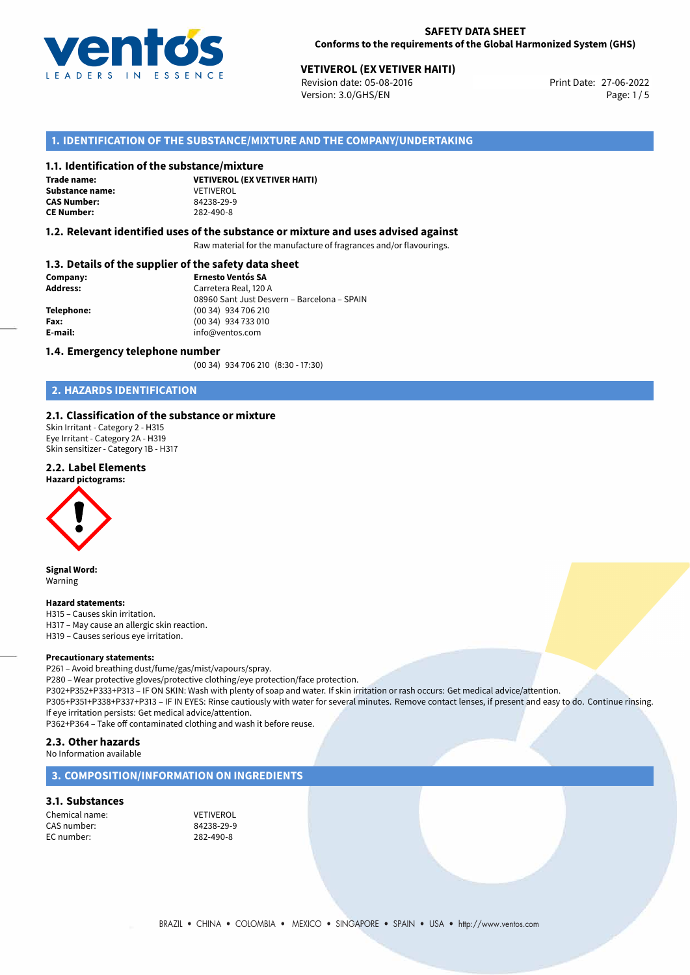

#### **SAFETY DATA SHEET Conforms to the requirements of the Global Harmonized System (GHS)**

# **VETIVEROL (EX VETIVER HAITI)**<br>
Revision date: 05-08-2016<br> **Print Date: 27-06-2022**

Revision date: 05-08-2016 Version: 3.0/GHS/EN Page: 1/5

# **1. IDENTIFICATION OF THE SUBSTANCE/MIXTURE AND THE COMPANY/UNDERTAKING**

#### **1.1. Identification of the substance/mixture**

**Trade name: Substance name:** VETIVEROL<br> **CAS Number:** 84238-29-9 **CAS Number: CE Number:** 282-490-8

**VETIVEROL (EX VETIVER HAITI)**

#### **1.2. Relevant identified uses of the substance or mixture and uses advised against**

Raw material for the manufacture of fragrances and/or flavourings.

# **1.3. Details of the supplier of the safety data sheet**

| Company:        | <b>Ernesto Ventós SA</b>                    |  |
|-----------------|---------------------------------------------|--|
| <b>Address:</b> | Carretera Real, 120 A                       |  |
|                 | 08960 Sant Just Desvern - Barcelona - SPAIN |  |
| Telephone:      | (00 34) 934 706 210                         |  |
| Fax:            | (00 34) 934 733 010                         |  |
| E-mail:         | info@ventos.com                             |  |
|                 |                                             |  |

#### **1.4. Emergency telephone number**

(00 34) 934 706 210 (8:30 - 17:30)

# **2. HAZARDS IDENTIFICATION**

## **2.1. Classification of the substance or mixture**

Skin Irritant - Category 2 - H315 Eye Irritant - Category 2A - H319 Skin sensitizer - Category 1B - H317

### **2.2. Label Elements**





**Signal Word:** Warning

#### **Hazard statements:**

H315 – Causes skin irritation. H317 – May cause an allergic skin reaction. H319 – Causes serious eye irritation.

#### **Precautionary statements:**

P261 – Avoid breathing dust/fume/gas/mist/vapours/spray.

P280 – Wear protective gloves/protective clothing/eye protection/face protection.

P302+P352+P333+P313 – IF ON SKIN: Wash with plenty of soap and water. If skin irritation or rash occurs: Get medical advice/attention. P305+P351+P338+P337+P313 – IF IN EYES: Rinse cautiously with water for several minutes. Remove contact lenses, if present and easy to do. Continue rinsing. If eye irritation persists: Get medical advice/attention.

P362+P364 – Take off contaminated clothing and wash it before reuse.

# **2.3. Other hazards**

No Information available

# **3. COMPOSITION/INFORMATION ON INGREDIENTS**

#### **3.1. Substances**

Chemical name: VETIVEROL CAS number: 84238-29-9 EC number: 282-490-8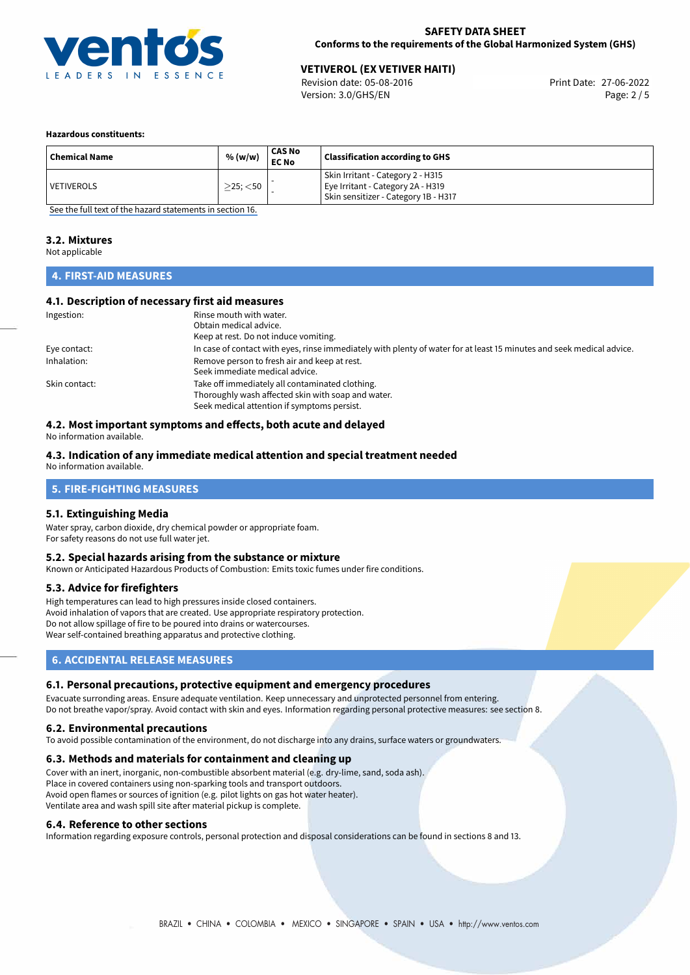

# **VETIVEROL (EX VETIVER HAITI)**<br>
Revision date: 05-08-2016<br> **Print Date: 27-06-2022**

Revision date: 05-08-2016 Version: 3.0/GHS/EN Page: 2 / 5

#### **Hazardous constituents:**

| <b>Chemical Name</b> | % (w/w)           | CAS No<br><b>EC No</b> | <b>Classification according to GHS</b>                                                                         |
|----------------------|-------------------|------------------------|----------------------------------------------------------------------------------------------------------------|
| <b>VETIVEROLS</b>    | $\geq$ 25; $<$ 50 |                        | Skin Irritant - Category 2 - H315<br>Eye Irritant - Category 2A - H319<br>Skin sensitizer - Category 1B - H317 |

[See the full text of the hazard statements in section 16.](#page-4-0)

#### **3.2. Mixtures**

Not applicable

# **4. FIRST-AID MEASURES**

# **4.1. Description of necessary first aid measures**

| Ingestion:    | Rinse mouth with water.                                                                                               |
|---------------|-----------------------------------------------------------------------------------------------------------------------|
|               | Obtain medical advice.                                                                                                |
|               | Keep at rest. Do not induce vomiting.                                                                                 |
| Eye contact:  | In case of contact with eyes, rinse immediately with plenty of water for at least 15 minutes and seek medical advice. |
| Inhalation:   | Remove person to fresh air and keep at rest.                                                                          |
|               | Seek immediate medical advice.                                                                                        |
| Skin contact: | Take off immediately all contaminated clothing.                                                                       |
|               | Thoroughly wash affected skin with soap and water.                                                                    |
|               | Seek medical attention if symptoms persist.                                                                           |

# **4.2. Most important symptoms and effects, both acute and delayed**

No information available.

## **4.3. Indication of any immediate medical attention and special treatment needed**

No information available.

# **5. FIRE-FIGHTING MEASURES**

## **5.1. Extinguishing Media**

Water spray, carbon dioxide, dry chemical powder or appropriate foam. For safety reasons do not use full water jet.

#### **5.2. Special hazards arising from the substance or mixture**

Known or Anticipated Hazardous Products of Combustion: Emits toxic fumes under fire conditions.

#### **5.3. Advice for firefighters**

High temperatures can lead to high pressures inside closed containers. Avoid inhalation of vapors that are created. Use appropriate respiratory protection. Do not allow spillage of fire to be poured into drains or watercourses. Wear self-contained breathing apparatus and protective clothing.

# **6. ACCIDENTAL RELEASE MEASURES**

#### **6.1. Personal precautions, protective equipment and emergency procedures**

Evacuate surronding areas. Ensure adequate ventilation. Keep unnecessary and unprotected personnel from entering. Do not breathe vapor/spray. Avoid contact with skin and eyes. Information regarding personal protective measures: see section 8.

#### **6.2. Environmental precautions**

To avoid possible contamination of the environment, do not discharge into any drains, surface waters or groundwaters.

#### **6.3. Methods and materials for containment and cleaning up**

Cover with an inert, inorganic, non-combustible absorbent material (e.g. dry-lime, sand, soda ash). Place in covered containers using non-sparking tools and transport outdoors. Avoid open flames or sources of ignition (e.g. pilot lights on gas hot water heater). Ventilate area and wash spill site after material pickup is complete.

#### **6.4. Reference to other sections**

Information regarding exposure controls, personal protection and disposal considerations can be found in sections 8 and 13.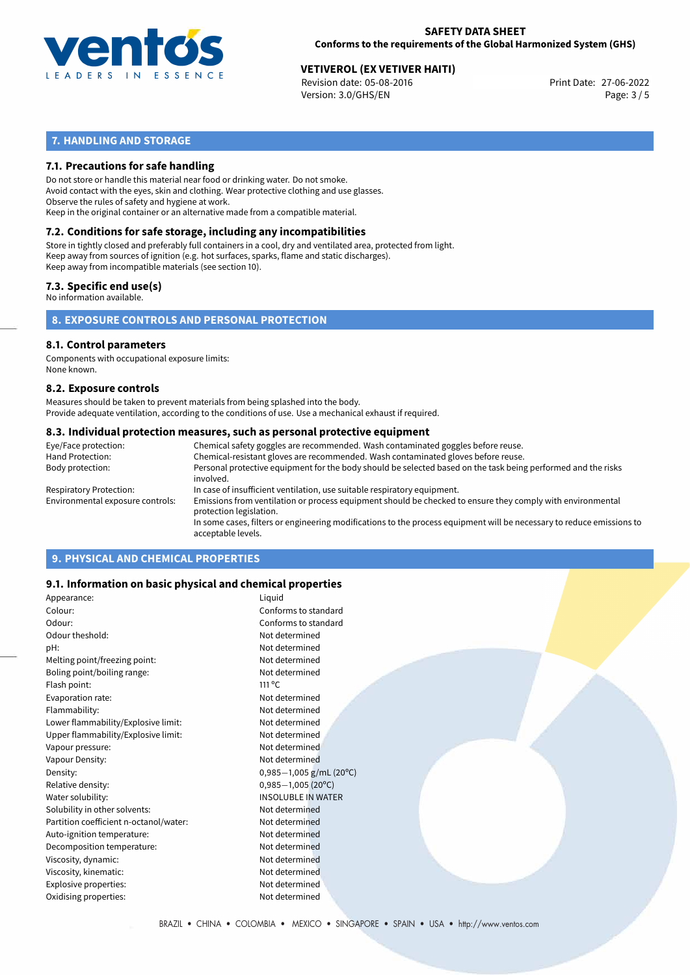

# **SAFETY DATA SHEET Conforms to the requirements of the Global Harmonized System (GHS)**

# **VETIVEROL (EX VETIVER HAITI)**<br>
Revision date: 05-08-2016<br>
Print Date: 27-06-2022

Revision date: 05-08-2016 Version: 3.0/GHS/EN Page: 3 / 5

# **7. HANDLING AND STORAGE**

# **7.1. Precautions for safe handling**

Do not store or handle this material near food or drinking water. Do not smoke. Avoid contact with the eyes, skin and clothing. Wear protective clothing and use glasses. Observe the rules of safety and hygiene at work. Keep in the original container or an alternative made from a compatible material.

# **7.2. Conditions for safe storage, including any incompatibilities**

Store in tightly closed and preferably full containers in a cool, dry and ventilated area, protected from light. Keep away from sources of ignition (e.g. hot surfaces, sparks, flame and static discharges). Keep away from incompatible materials (see section 10).

### **7.3. Specific end use(s)**

No information available.

**8. EXPOSURE CONTROLS AND PERSONAL PROTECTION**

#### **8.1. Control parameters**

Components with occupational exposure limits: None known.

#### **8.2. Exposure controls**

Measures should be taken to prevent materials from being splashed into the body. Provide adequate ventilation, according to the conditions of use. Use a mechanical exhaust if required.

#### **8.3. Individual protection measures, such as personal protective equipment**

| Eye/Face protection:             | Chemical safety goggles are recommended. Wash contaminated goggles before reuse.                                                            |
|----------------------------------|---------------------------------------------------------------------------------------------------------------------------------------------|
| Hand Protection:                 | Chemical-resistant gloves are recommended. Wash contaminated gloves before reuse.                                                           |
| Body protection:                 | Personal protective equipment for the body should be selected based on the task being performed and the risks<br>involved.                  |
| Respiratory Protection:          | In case of insufficient ventilation, use suitable respiratory equipment.                                                                    |
| Environmental exposure controls: | Emissions from ventilation or process equipment should be checked to ensure they comply with environmental<br>protection legislation.       |
|                                  | In some cases, filters or engineering modifications to the process equipment will be necessary to reduce emissions to<br>acceptable levels. |
|                                  |                                                                                                                                             |

# **9. PHYSICAL AND CHEMICAL PROPERTIES**

## **9.1. Information on basic physical and chemical properties**

| Appearance:                            | Liquid                    |
|----------------------------------------|---------------------------|
| Colour:                                | Conforms to standard      |
| Odour:                                 | Conforms to standard      |
| Odour theshold:                        | Not determined            |
| pH:                                    | Not determined            |
| Melting point/freezing point:          | Not determined            |
| Boling point/boiling range:            | Not determined            |
| Flash point:                           | $111^{\circ}$ C           |
| Evaporation rate:                      | Not determined            |
| Flammability:                          | Not determined            |
| Lower flammability/Explosive limit:    | Not determined            |
| Upper flammability/Explosive limit:    | Not determined            |
| Vapour pressure:                       | Not determined            |
| Vapour Density:                        | Not determined            |
| Density:                               | $0,985-1,005$ g/mL (20°C) |
| Relative density:                      | $0,985 - 1,005$ (20°C)    |
| Water solubility:                      | <b>INSOLUBLE IN WATER</b> |
| Solubility in other solvents:          | Not determined            |
| Partition coefficient n-octanol/water: | Not determined            |
| Auto-ignition temperature:             | Not determined            |
| Decomposition temperature:             | Not determined            |
| Viscosity, dynamic:                    | Not determined            |
| Viscosity, kinematic:                  | Not determined            |
| Explosive properties:                  | Not determined            |
| Oxidising properties:                  | Not determined            |
|                                        |                           |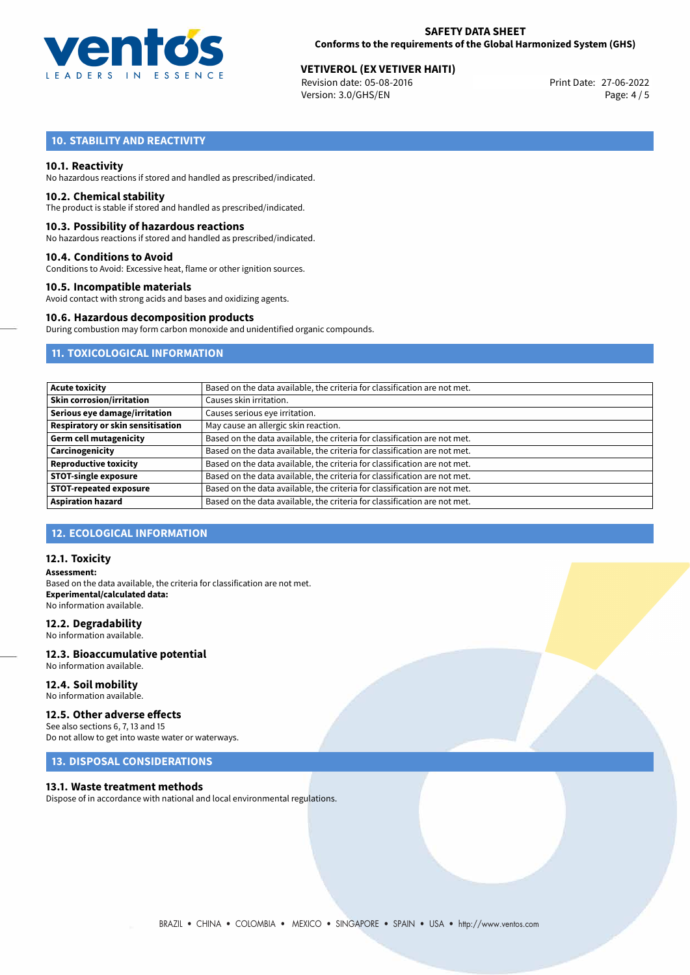

# **SAFETY DATA SHEET Conforms to the requirements of the Global Harmonized System (GHS)**

# **VETIVEROL (EX VETIVER HAITI)**<br>
Revision date: 05-08-2016<br>
Print Date: 27-06-2022

Revision date: 05-08-2016 Version: 3.0/GHS/EN Page: 4 / 5

# **10. STABILITY AND REACTIVITY**

#### **10.1. Reactivity**

No hazardous reactions if stored and handled as prescribed/indicated.

#### **10.2. Chemical stability**

The product is stable if stored and handled as prescribed/indicated.

#### **10.3. Possibility of hazardous reactions**

No hazardous reactions if stored and handled as prescribed/indicated.

#### **10.4. Conditions to Avoid**

Conditions to Avoid: Excessive heat, flame or other ignition sources.

#### **10.5. Incompatible materials**

Avoid contact with strong acids and bases and oxidizing agents.

#### **10.6. Hazardous decomposition products**

During combustion may form carbon monoxide and unidentified organic compounds.

# **11. TOXICOLOGICAL INFORMATION**

| <b>Acute toxicity</b>             | Based on the data available, the criteria for classification are not met. |
|-----------------------------------|---------------------------------------------------------------------------|
| <b>Skin corrosion/irritation</b>  | Causes skin irritation.                                                   |
| Serious eye damage/irritation     | Causes serious eye irritation.                                            |
| Respiratory or skin sensitisation | May cause an allergic skin reaction.                                      |
| <b>Germ cell mutagenicity</b>     | Based on the data available, the criteria for classification are not met. |
| Carcinogenicity                   | Based on the data available, the criteria for classification are not met. |
| <b>Reproductive toxicity</b>      | Based on the data available, the criteria for classification are not met. |
| <b>STOT-single exposure</b>       | Based on the data available, the criteria for classification are not met. |
| <b>STOT-repeated exposure</b>     | Based on the data available, the criteria for classification are not met. |
| <b>Aspiration hazard</b>          | Based on the data available, the criteria for classification are not met. |

# **12. ECOLOGICAL INFORMATION**

#### **12.1. Toxicity**

**Assessment:** Based on the data available, the criteria for classification are not met. **Experimental/calculated data:** No information available.

#### **12.2. Degradability**

No information available.

#### **12.3. Bioaccumulative potential** No information available.

**12.4. Soil mobility**

# No information available.

### **12.5. Other adverse effects**

See also sections 6, 7, 13 and 15 Do not allow to get into waste water or waterways.

# **13. DISPOSAL CONSIDERATIONS**

#### **13.1. Waste treatment methods**

Dispose of in accordance with national and local environmental regulations.